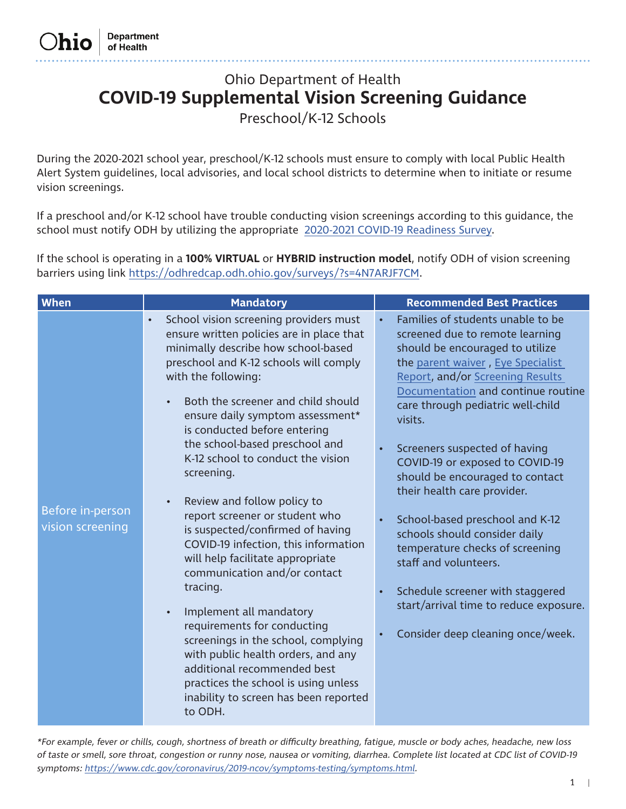# Ohio Department of Health **COVID-19 Supplemental Vision Screening Guidance**

Preschool/K-12 Schools

During the 2020-2021 school year, preschool/K-12 schools must ensure to comply with local Public Health Alert System guidelines, local advisories, and local school districts to determine when to initiate or resume vision screenings.

If a preschool and/or K-12 school have trouble conducting vision screenings according to this guidance, the school must notify ODH by utilizing the appropriate [2020-2021 COVID-19 Readiness Survey](https://odhredcap.odh.ohio.gov/surveys/?s=4N7ARJF7CM).

If the school is operating in a **100% VIRTUAL** or **HYBRID instruction model**, notify ODH of vision screening barriers using link https://odhredcap.odh.ohio.gov/surveys/?s=4N7ARJF7CM.

| <b>When</b>                          | <b>Mandatory</b>                                                                                                                                                                                                                                                                                                                                                                                                                                                                                                                                                                                                                                                                                                                                                                                                                                                                                                    | <b>Recommended Best Practices</b>                                                                                                                                                                                                                                                                                                                                                                                                                                                                                                                                                                                                                               |
|--------------------------------------|---------------------------------------------------------------------------------------------------------------------------------------------------------------------------------------------------------------------------------------------------------------------------------------------------------------------------------------------------------------------------------------------------------------------------------------------------------------------------------------------------------------------------------------------------------------------------------------------------------------------------------------------------------------------------------------------------------------------------------------------------------------------------------------------------------------------------------------------------------------------------------------------------------------------|-----------------------------------------------------------------------------------------------------------------------------------------------------------------------------------------------------------------------------------------------------------------------------------------------------------------------------------------------------------------------------------------------------------------------------------------------------------------------------------------------------------------------------------------------------------------------------------------------------------------------------------------------------------------|
| Before in-person<br>vision screening | School vision screening providers must<br>$\bullet$<br>ensure written policies are in place that<br>minimally describe how school-based<br>preschool and K-12 schools will comply<br>with the following:<br>Both the screener and child should<br>ensure daily symptom assessment*<br>is conducted before entering<br>the school-based preschool and<br>K-12 school to conduct the vision<br>screening.<br>Review and follow policy to<br>report screener or student who<br>is suspected/confirmed of having<br>COVID-19 infection, this information<br>will help facilitate appropriate<br>communication and/or contact<br>tracing.<br>Implement all mandatory<br>$\bullet$<br>requirements for conducting<br>screenings in the school, complying<br>with public health orders, and any<br>additional recommended best<br>practices the school is using unless<br>inability to screen has been reported<br>to ODH. | Families of students unable to be<br>screened due to remote learning<br>should be encouraged to utilize<br>the parent waiver, Eye Specialist<br>Report, and/or Screening Results<br>Documentation and continue routine<br>care through pediatric well-child<br>visits.<br>Screeners suspected of having<br>COVID-19 or exposed to COVID-19<br>should be encouraged to contact<br>their health care provider.<br>School-based preschool and K-12<br>schools should consider daily<br>temperature checks of screening<br>staff and volunteers.<br>Schedule screener with staggered<br>start/arrival time to reduce exposure.<br>Consider deep cleaning once/week. |

\*For example, fever or chills, cough, shortness of breath or difficulty breathing, fatigue, muscle or body aches, headache, new loss of taste or smell, sore throat, congestion or runny nose, nausea or vomiting, diarrhea. Complete list located at CDC list of COVID-19 symptoms: <https://www.cdc.gov/coronavirus/2019-ncov/symptoms-testing/symptoms.html>.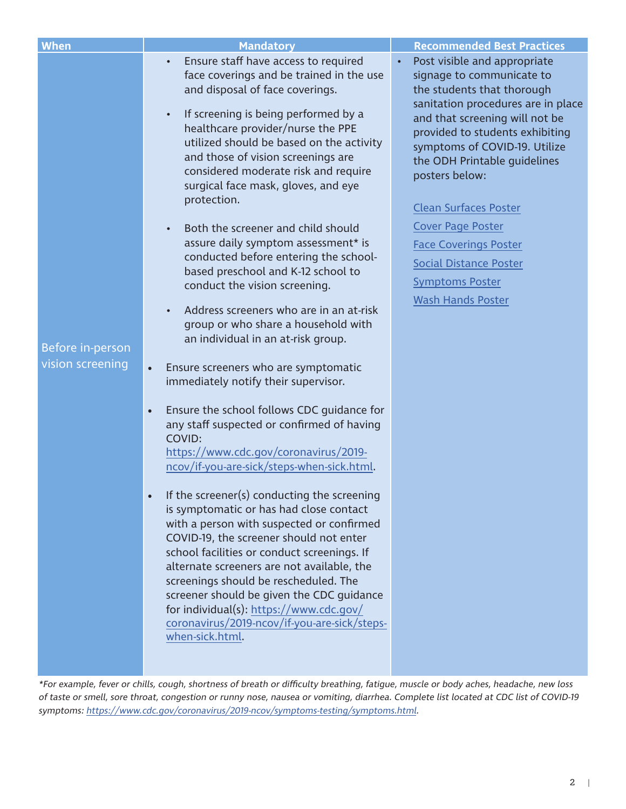| <b>When</b>                          | <b>Mandatory</b>                                                                                                                                                                                                                                                                                                                                                                                                                                                                                                                                                                                                                                                                                                                                                                                                                                                                                                                                                                                                                                                                                            | <b>Recommended Best Practices</b>                                                                                                                                                                                                                                                                                     |
|--------------------------------------|-------------------------------------------------------------------------------------------------------------------------------------------------------------------------------------------------------------------------------------------------------------------------------------------------------------------------------------------------------------------------------------------------------------------------------------------------------------------------------------------------------------------------------------------------------------------------------------------------------------------------------------------------------------------------------------------------------------------------------------------------------------------------------------------------------------------------------------------------------------------------------------------------------------------------------------------------------------------------------------------------------------------------------------------------------------------------------------------------------------|-----------------------------------------------------------------------------------------------------------------------------------------------------------------------------------------------------------------------------------------------------------------------------------------------------------------------|
|                                      | Ensure staff have access to required<br>face coverings and be trained in the use<br>and disposal of face coverings.<br>If screening is being performed by a<br>$\bullet$<br>healthcare provider/nurse the PPE<br>utilized should be based on the activity<br>and those of vision screenings are<br>considered moderate risk and require<br>surgical face mask, gloves, and eye<br>protection.                                                                                                                                                                                                                                                                                                                                                                                                                                                                                                                                                                                                                                                                                                               | Post visible and appropriate<br>signage to communicate to<br>the students that thorough<br>sanitation procedures are in place<br>and that screening will not be<br>provided to students exhibiting<br>symptoms of COVID-19. Utilize<br>the ODH Printable guidelines<br>posters below:<br><b>Clean Surfaces Poster</b> |
| Before in-person<br>vision screening | Both the screener and child should<br>assure daily symptom assessment* is<br>conducted before entering the school-<br>based preschool and K-12 school to<br>conduct the vision screening.<br>Address screeners who are in an at-risk<br>group or who share a household with<br>an individual in an at-risk group.<br>Ensure screeners who are symptomatic<br>$\bullet$<br>immediately notify their supervisor.<br>Ensure the school follows CDC guidance for<br>$\bullet$<br>any staff suspected or confirmed of having<br>COVID:<br>https://www.cdc.gov/coronavirus/2019-<br>ncov/if-you-are-sick/steps-when-sick.html.<br>If the screener(s) conducting the screening<br>is symptomatic or has had close contact<br>with a person with suspected or confirmed<br>COVID-19, the screener should not enter<br>school facilities or conduct screenings. If<br>alternate screeners are not available, the<br>screenings should be rescheduled. The<br>screener should be given the CDC guidance<br>for individual(s): https://www.cdc.gov/<br>coronavirus/2019-ncov/if-you-are-sick/steps-<br>when-sick.html. | <b>Cover Page Poster</b><br><b>Face Coverings Poster</b><br><b>Social Distance Poster</b><br><b>Symptoms Poster</b><br><b>Wash Hands Poster</b>                                                                                                                                                                       |

\*For example, fever or chills, cough, shortness of breath or difficulty breathing, fatigue, muscle or body aches, headache, new loss of taste or smell, sore throat, congestion or runny nose, nausea or vomiting, diarrhea. Complete list located at CDC list of COVID-19 symptoms:<https://www.cdc.gov/coronavirus/2019-ncov/symptoms-testing/symptoms.html>.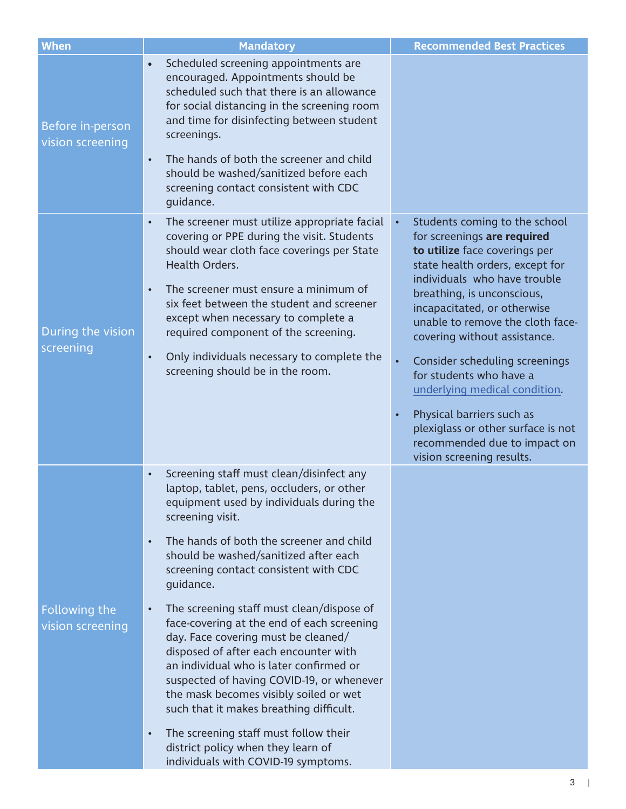| <b>When</b>                          | <b>Mandatory</b>                                                                                                                                                                                                                                                                                                                                                                                                                                                                                                                                                                                                                                                                                                                                                                                                                   | <b>Recommended Best Practices</b>                                                                                                                                                                                                                                                                                                                                                                                                                                                                                                            |
|--------------------------------------|------------------------------------------------------------------------------------------------------------------------------------------------------------------------------------------------------------------------------------------------------------------------------------------------------------------------------------------------------------------------------------------------------------------------------------------------------------------------------------------------------------------------------------------------------------------------------------------------------------------------------------------------------------------------------------------------------------------------------------------------------------------------------------------------------------------------------------|----------------------------------------------------------------------------------------------------------------------------------------------------------------------------------------------------------------------------------------------------------------------------------------------------------------------------------------------------------------------------------------------------------------------------------------------------------------------------------------------------------------------------------------------|
| Before in-person<br>vision screening | Scheduled screening appointments are<br>$\bullet$<br>encouraged. Appointments should be<br>scheduled such that there is an allowance<br>for social distancing in the screening room<br>and time for disinfecting between student<br>screenings.<br>The hands of both the screener and child<br>$\bullet$<br>should be washed/sanitized before each<br>screening contact consistent with CDC<br>quidance.                                                                                                                                                                                                                                                                                                                                                                                                                           |                                                                                                                                                                                                                                                                                                                                                                                                                                                                                                                                              |
| During the vision<br>screening       | The screener must utilize appropriate facial<br>$\bullet$<br>covering or PPE during the visit. Students<br>should wear cloth face coverings per State<br>Health Orders.<br>The screener must ensure a minimum of<br>$\bullet$<br>six feet between the student and screener<br>except when necessary to complete a<br>required component of the screening.<br>Only individuals necessary to complete the<br>$\bullet$<br>screening should be in the room.                                                                                                                                                                                                                                                                                                                                                                           | Students coming to the school<br>$\bullet$<br>for screenings are required<br>to utilize face coverings per<br>state health orders, except for<br>individuals who have trouble<br>breathing, is unconscious,<br>incapacitated, or otherwise<br>unable to remove the cloth face-<br>covering without assistance.<br>Consider scheduling screenings<br>for students who have a<br>underlying medical condition.<br>Physical barriers such as<br>plexiglass or other surface is not<br>recommended due to impact on<br>vision screening results. |
| Following the<br>vision screening    | Screening staff must clean/disinfect any<br>$\bullet$<br>laptop, tablet, pens, occluders, or other<br>equipment used by individuals during the<br>screening visit.<br>The hands of both the screener and child<br>$\bullet$<br>should be washed/sanitized after each<br>screening contact consistent with CDC<br>guidance.<br>The screening staff must clean/dispose of<br>$\bullet$<br>face-covering at the end of each screening<br>day. Face covering must be cleaned/<br>disposed of after each encounter with<br>an individual who is later confirmed or<br>suspected of having COVID-19, or whenever<br>the mask becomes visibly soiled or wet<br>such that it makes breathing difficult.<br>The screening staff must follow their<br>$\bullet$<br>district policy when they learn of<br>individuals with COVID-19 symptoms. |                                                                                                                                                                                                                                                                                                                                                                                                                                                                                                                                              |